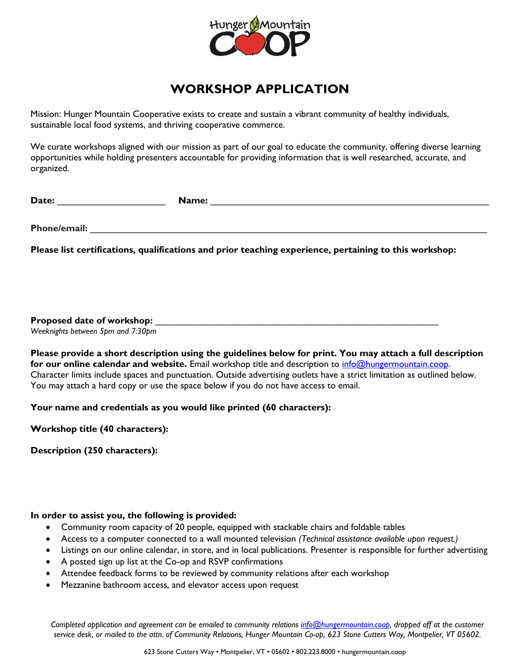

## **WORKSHOP APPLICATION**

Mission: Hunger Mountain Cooperative exists to create and sustain a vibrant community of healthy individuals, sustainable local food systems, and thriving cooperative commerce.

We curate workshops aligned with our mission as part of our goal to educate the community, offering diverse learning opportunities while holding presenters accountable for providing information that is well researched, accurate, and organized.

Date: **Name: Name: Name: Name: Name: Name: Name: Name: Name: Name: Name: Name: Name: Name: Name: Name: Name: Name: Name: Name: Name: Name: Name: Name: Name: Name: Name:**

**Phone/email:**  $\blacksquare$ 

**Please list certifications, qualifications and prior teaching experience, pertaining to this workshop:**

**Proposed date of workshop:** \_\_\_\_\_\_\_\_\_\_\_\_\_\_\_\_\_\_\_\_\_\_\_\_\_\_\_\_\_\_\_\_\_\_\_\_\_\_\_\_\_\_\_\_\_\_\_\_\_\_\_\_\_\_\_

*Weeknights between 5pm and 7:30pm*

**Please provide a short description using the guidelines below for print. You may attach a full description**  for our online calendar and website. Email workshop title and description to **info@hungermountain.coop.** Character limits include spaces and punctuation. Outside advertising outlets have a strict limitation as outlined below. You may attach a hard copy or use the space below if you do not have access to email.

**Your name and credentials as you would like printed (60 characters):** 

**Workshop title (40 characters):** 

**Description (250 characters):**

## **In order to assist you, the following is provided:**

- Community room capacity of 20 people, equipped with stackable chairs and foldable tables
- Access to a computer connected to a wall mounted television *(Technical assistance available upon request.)*
- Listings on our online calendar, in store, and in local publications. Presenter is responsible for further advertising
- A posted sign up list at the Co-op and RSVP confirmations
- Attendee feedback forms to be reviewed by community relations after each workshop
- Mezzanine bathroom access, and elevator access upon request

*Completed application and agreement can be emailed to community relations [info@hungermountain.coop,](mailto:info@hungermountain.coop) dropped off at the customer service desk, or mailed to the attn. of Community Relations, Hunger Mountain Co-op, 623 Stone Cutters Way, Montpelier, VT 05602.*